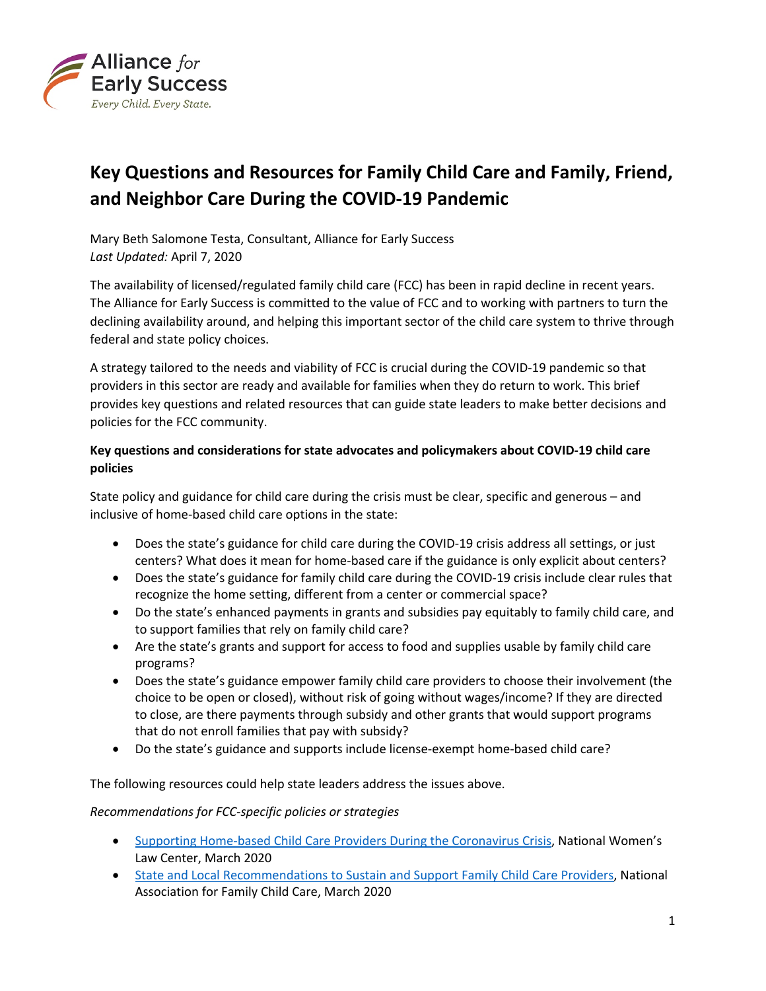

# **Key Questions and Resources for Family Child Care and Family, Friend, and Neighbor Care During the COVID-19 Pandemic**

Mary Beth Salomone Testa, Consultant, Alliance for Early Success *Last Updated:* April 7, 2020

The availability of licensed/regulated family child care (FCC) has been in rapid decline in recent years. The Alliance for Early Success is committed to the value of FCC and to working with partners to turn the declining availability around, and helping this important sector of the child care system to thrive through federal and state policy choices.

A strategy tailored to the needs and viability of FCC is crucial during the COVID-19 pandemic so that providers in this sector are ready and available for families when they do return to work. This brief provides key questions and related resources that can guide state leaders to make better decisions and policies for the FCC community.

# **Key questions and considerations for state advocates and policymakers about COVID-19 child care policies**

State policy and guidance for child care during the crisis must be clear, specific and generous – and inclusive of home-based child care options in the state:

- Does the state's guidance for child care during the COVID-19 crisis address all settings, or just centers? What does it mean for home-based care if the guidance is only explicit about centers?
- Does the state's guidance for family child care during the COVID-19 crisis include clear rules that recognize the home setting, different from a center or commercial space?
- Do the state's enhanced payments in grants and subsidies pay equitably to family child care, and to support families that rely on family child care?
- Are the state's grants and support for access to food and supplies usable by family child care programs?
- Does the state's guidance empower family child care providers to choose their involvement (the choice to be open or closed), without risk of going without wages/income? If they are directed to close, are there payments through subsidy and other grants that would support programs that do not enroll families that pay with subsidy?
- Do the state's guidance and supports include license-exempt home-based child care?

The following resources could help state leaders address the issues above.

### *Recommendations for FCC-specific policies or strategies*

- Supporting Home-based Child [Care Providers During the Coronavirus Crisis](https://nwlc-ciw49tixgw5lbab.stackpathdns.com/wp-content/uploads/2020/03/SUPPORTING-HOME-BASED-CHILD-CARE-PROVIDERS-.pdf), National Women's Law Center, March 2020
- [State and Local Recommendations to Sustain and Support Family Child Care Providers](https://www.nafcc.org/File/f6e1bdac-343f-4233-8c7d-22dbdf126cad), National Association for Family Child Care, March 2020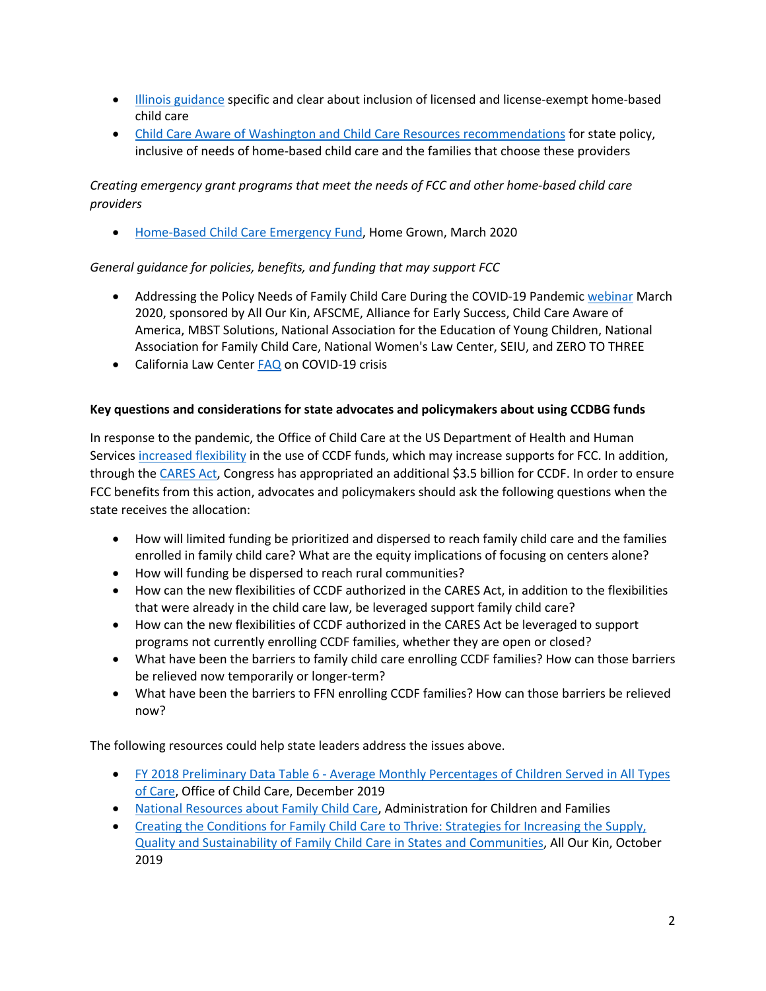- [Illinois guidance](http://earlysuccess.org/sites/default/files/COVID19IllinoisEarlyChildhoodCareandEducationResponse33020.pdf) specific and clear about inclusion of licensed and license-exempt home-based child care
- [Child Care Aware of Washington and Child Care Resources recommendations](http://earlysuccess.org/sites/default/files/CCACCRCOVID19StatePolicyRecommendationsWA.pdf) for state policy, inclusive of needs of home-based child care and the families that choose these providers

*Creating emergency grant programs that meet the needs of FCC and other home-based child care providers*

• [Home-Based Child Care Emergency Fund](https://www.reinvestment.com/wp-content/uploads/2020/03/Home-Based-Child-Care-Emergency-Fund-A-Toolkit-for-Funders.pdf), Home Grown, March 2020

## *General guidance for policies, benefits, and funding that may support FCC*

- Addressing the Policy Needs of Family Child Care During the COVID-19 Pandemic [webinar](https://bit.ly/3dkPjTA) March 2020, sponsored by All Our Kin, AFSCME, Alliance for Early Success, Child Care Aware of America, MBST Solutions, National Association for the Education of Young Children, National Association for Family Child Care, National Women's Law Center, SEIU, and ZERO TO THREE
- California Law Center **FAQ** on COVID-19 crisis

## **Key questions and considerations for state advocates and policymakers about using CCDBG funds**

In response to the pandemic, the Office of Child Care at the US Department of Health and Human Services [increased flexibility](https://www.acf.hhs.gov/occ/resource/occ-covid-19-resources) in the use of CCDF funds, which may increase supports for FCC. In addition, through the [CARES Act](https://www.clasp.org/publications/fact-sheet/covid-19-and-state-child-care-assistance-programs), Congress has appropriated an additional \$3.5 billion for CCDF. In order to ensure FCC benefits from this action, advocates and policymakers should ask the following questions when the state receives the allocation:

- How will limited funding be prioritized and dispersed to reach family child care and the families enrolled in family child care? What are the equity implications of focusing on centers alone?
- How will funding be dispersed to reach rural communities?
- How can the new flexibilities of CCDF authorized in the CARES Act, in addition to the flexibilities that were already in the child care law, be leveraged support family child care?
- How can the new flexibilities of CCDF authorized in the CARES Act be leveraged to support programs not currently enrolling CCDF families, whether they are open or closed?
- What have been the barriers to family child care enrolling CCDF families? How can those barriers be relieved now temporarily or longer-term?
- What have been the barriers to FFN enrolling CCDF families? How can those barriers be relieved now?

The following resources could help state leaders address the issues above.

- FY 2018 Preliminary Data Table 6 [Average Monthly Percentages of Children Served in All Types](https://www.acf.hhs.gov/occ/resource/fy-2018-preliminary-data-table-6) [of Care](https://www.acf.hhs.gov/occ/resource/fy-2018-preliminary-data-table-6), Office of Child Care, December 2019
- [National Resources about Family Child Care](https://childcareta.acf.hhs.gov/grantees-providers/national-resources-family-child-care), Administration for Children and Families
- [Creating the Conditions for Family Child Care to Thrive: Strategies for Increasing the Supply,](http://allourkin.org/policy) [Quality and Sustainability of Family Child Care in States and Communities](http://allourkin.org/policy), All Our Kin, October 2019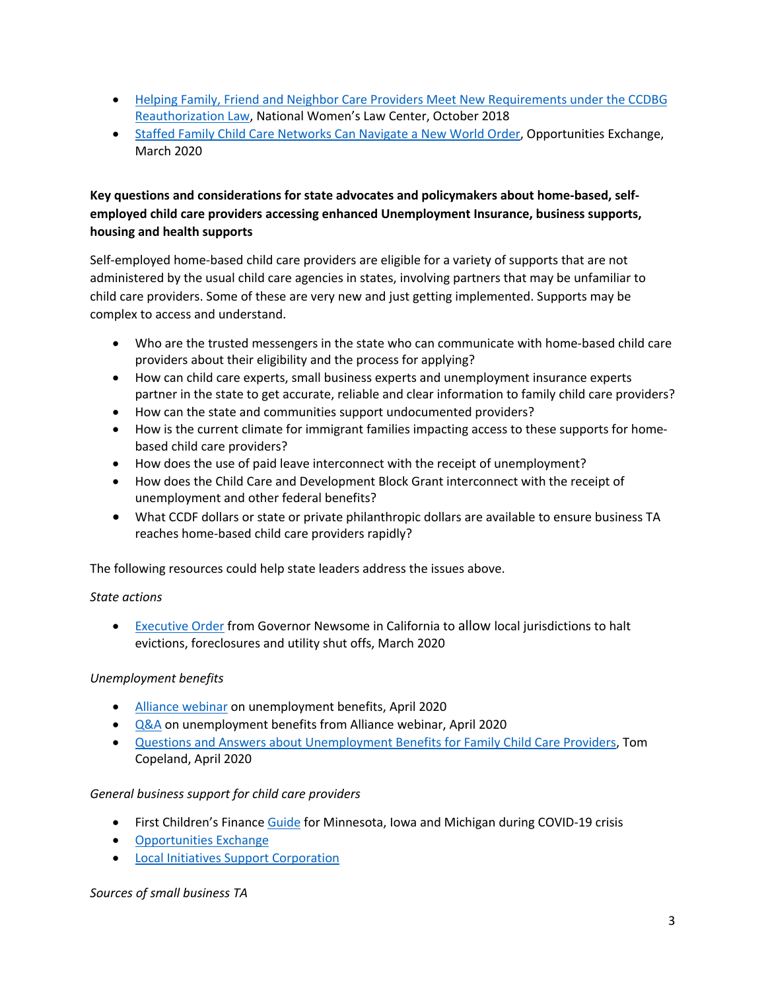- [Helping Family, Friend and Neighbor Care Providers Meet New Requirements under the CCDBG](https://nwlc.org/resources/helping-family-friend-and-neighbor-care-providers-meet-new-requirements-under-the-child-care-and-development-block-grant-reauthorization-law/) [Reauthorization Law](https://nwlc.org/resources/helping-family-friend-and-neighbor-care-providers-meet-new-requirements-under-the-child-care-and-development-block-grant-reauthorization-law/), National Women's Law Center, October 2018
- [Staffed Family Child Care Networks Can Navigate a New World Order](https://opportunities-exchange.org/wp-content/uploads/OpEx_2020_StfdChlCareNtwrksCovid19_Brief_Stoney.pdf), Opportunities Exchange, March 2020

# **Key questions and considerations for state advocates and policymakers about home-based, selfemployed child care providers accessing enhanced Unemployment Insurance, business supports, housing and health supports**

Self-employed home-based child care providers are eligible for a variety of supports that are not administered by the usual child care agencies in states, involving partners that may be unfamiliar to child care providers. Some of these are very new and just getting implemented. Supports may be complex to access and understand.

- Who are the trusted messengers in the state who can communicate with home-based child care providers about their eligibility and the process for applying?
- How can child care experts, small business experts and unemployment insurance experts partner in the state to get accurate, reliable and clear information to family child care providers?
- How can the state and communities support undocumented providers?
- How is the current climate for immigrant families impacting access to these supports for homebased child care providers?
- How does the use of paid leave interconnect with the receipt of unemployment?
- How does the Child Care and Development Block Grant interconnect with the receipt of unemployment and other federal benefits?
- What CCDF dollars or state or private philanthropic dollars are available to ensure business TA reaches home-based child care providers rapidly?

The following resources could help state leaders address the issues above.

## *State actions*

• [Executive Order](https://www.gov.ca.gov/wp-content/uploads/2020/03/3.16.20-Executive-Order.pdf) from Governor Newsome in California to allow local jurisdictions to halt evictions, foreclosures and utility shut offs, March 2020

## *Unemployment benefits*

- [Alliance webinar](http://earlysuccess.org/COVID19-Action-Calls) on unemployment benefits, April 2020
- [Q&A](http://earlysuccess.org/sites/default/files/AllianceUICall20200406QandA.pdf) on unemployment benefits from Alliance webinar, April 2020
- [Questions and Answers about Unemployment Benefits for Family Child Care Providers](http://tomcopelandblog.com/questions-and-answers-about-unemployment-benefits-for-family-child-care-providers), Tom Copeland, April 2020

### *General business support for child care providers*

- First Children's Finance [Guide](http://www.firstchildrensfinance.org/blog/success_story/building-stronger-child-care-businesses/) for Minnesota, Iowa and Michigan during COVID-19 crisis
- [Opportunities Exchange](https://opportunities-exchange.org/about/)
- [Local Initiatives Support Corporation](https://www.lisc.org/covid-19/)

### *Sources of small business TA*